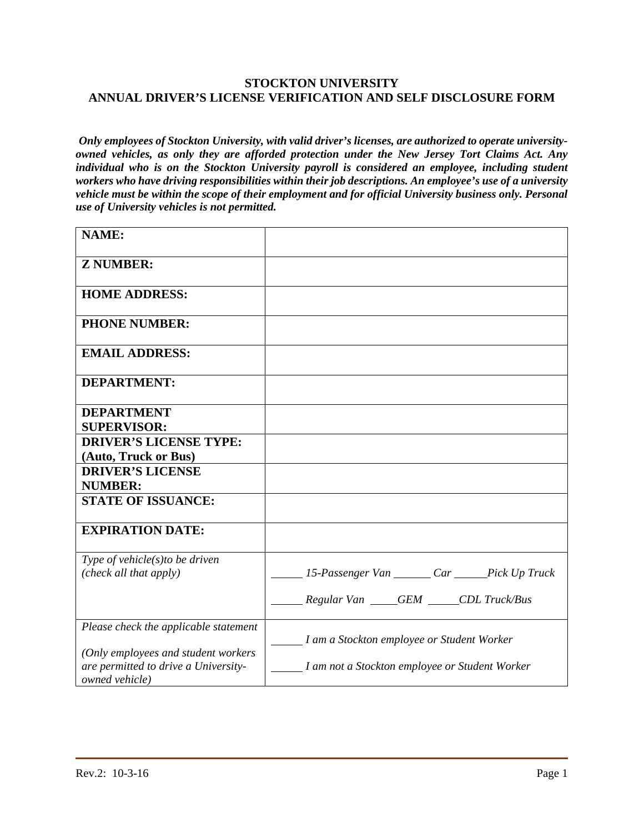## **STOCKTON UNIVERSITY ANNUAL DRIVER'S LICENSE VERIFICATION AND SELF DISCLOSURE FORM**

*Only employees of Stockton University, with valid driver's licenses, are authorized to operate universityowned vehicles, as only they are afforded protection under the New Jersey Tort Claims Act. Any individual who is on the Stockton University payroll is considered an employee, including student workers who have driving responsibilities within their job descriptions. An employee's use of a university vehicle must be within the scope of their employment and for official University business only. Personal use of University vehicles is not permitted.* 

| <b>NAME:</b>                                           |                                                |
|--------------------------------------------------------|------------------------------------------------|
| <b>Z NUMBER:</b>                                       |                                                |
| <b>HOME ADDRESS:</b>                                   |                                                |
| <b>PHONE NUMBER:</b>                                   |                                                |
| <b>EMAIL ADDRESS:</b>                                  |                                                |
| <b>DEPARTMENT:</b>                                     |                                                |
| <b>DEPARTMENT</b>                                      |                                                |
| <b>SUPERVISOR:</b>                                     |                                                |
| <b>DRIVER'S LICENSE TYPE:</b>                          |                                                |
| (Auto, Truck or Bus)                                   |                                                |
| <b>DRIVER'S LICENSE</b>                                |                                                |
| <b>NUMBER:</b>                                         |                                                |
| <b>STATE OF ISSUANCE:</b>                              |                                                |
| <b>EXPIRATION DATE:</b>                                |                                                |
| Type of vehicle $(s)$ to be driven                     |                                                |
| (check all that apply)                                 | 15-Passenger Van Car Pick Up Truck             |
|                                                        |                                                |
|                                                        | Regular Van GEM CDL Truck/Bus                  |
| Please check the applicable statement                  |                                                |
|                                                        | I am a Stockton employee or Student Worker     |
| (Only employees and student workers                    |                                                |
| are permitted to drive a University-<br>owned vehicle) | I am not a Stockton employee or Student Worker |
|                                                        |                                                |